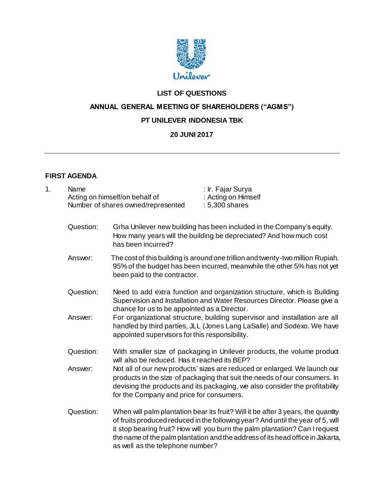

# **LIST OF QUESTIONS**

# **ANNUAL GENERAL MEETING OF SHAREHOLDERS ("AGMS")**

### **PT UNILEVER INDONESIA TBK**

## **20 JUNI 2017**

## **FIRST AGENDA**

| 1. | Name<br>Acting on himself/on behalf of<br>Number of shares owned/represented |                                                                                                                                                                                                        | : Ir. Fajar Surya<br>: Acting on Himself<br>: 5,300 shares                                                                                                                                                                                                                                                                           |  |  |
|----|------------------------------------------------------------------------------|--------------------------------------------------------------------------------------------------------------------------------------------------------------------------------------------------------|--------------------------------------------------------------------------------------------------------------------------------------------------------------------------------------------------------------------------------------------------------------------------------------------------------------------------------------|--|--|
|    | Question:                                                                    | Grha Unilever new building has been included in the Company's equity.<br>How many years will the building be depreciated? And how much cost<br>has been incurred?                                      |                                                                                                                                                                                                                                                                                                                                      |  |  |
|    | Answer:                                                                      | The cost of this building is around one trillion and twenty-two million Rupiah.<br>95% of the budget has been incurred, meanwhile the other 5% has not yet<br>been paid to the contractor.             |                                                                                                                                                                                                                                                                                                                                      |  |  |
|    | Question:                                                                    | Need to add extra function and organization structure, which is Building<br>Supervision and Installation and Water Resources Director. Please give a<br>chance for us to be appointed as a Director.   |                                                                                                                                                                                                                                                                                                                                      |  |  |
|    | Answer:                                                                      | For organizational structure, building supervisor and installation are all<br>handled by third parties, JLL (Jones Lang LaSalle) and Sodexo. We have<br>appointed supervisors for this responsibility. |                                                                                                                                                                                                                                                                                                                                      |  |  |
|    | Question:                                                                    | will also be reduced. Has it reached its BEP?                                                                                                                                                          | With smaller size of packaging in Unilever products, the volume product                                                                                                                                                                                                                                                              |  |  |
|    | Answer:                                                                      | for the Company and price for consumers.                                                                                                                                                               | Not all of our new products' sizes are reduced or enlarged. We launch our<br>products in the size of packaging that suit the needs of our consumers. In<br>devising the products and its packaging, we also consider the profitability                                                                                               |  |  |
|    | Question:                                                                    | as well as the telephone number?                                                                                                                                                                       | When will palm plantation bear its fruit? Will it be after 3 years, the quantity<br>of fruits produced reduced in the following year? And until the year of 5, will<br>it stop bearing fruit? How will you burn the palm plantation? Can I request<br>the name of the palm plantation and the address of its head office in Jakarta, |  |  |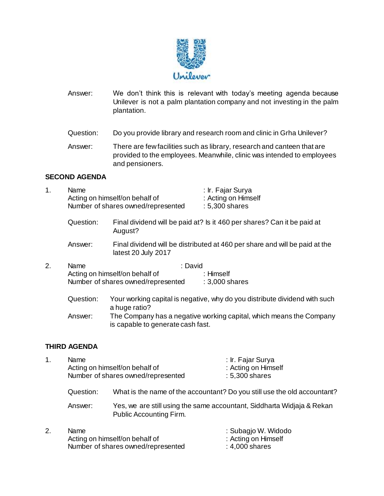

- Answer: We don't think this is relevant with today's meeting agenda because Unilever is not a palm plantation company and not investing in the palm plantation.
- Question: Do you provide library and research room and clinic in Grha Unilever?
- Answer: There are few facilities such as library, research and canteen that are provided to the employees. Meanwhile, clinic was intended to employees and pensioners.

#### **SECOND AGENDA**

| Name.                              | : Ir. Fajar Surya   |  |
|------------------------------------|---------------------|--|
| Acting on himself/on behalf of     | : Acting on Himself |  |
| Number of shares owned/represented | $: 5,300$ shares    |  |
|                                    |                     |  |

- Question: Final dividend will be paid at? Is it 460 per shares? Can it be paid at August?
- Answer: Final dividend will be distributed at 460 per share and will be paid at the latest 20 July 2017
- 2. Name : David Acting on himself/on behalf of : Himself Number of shares owned/represented : 3,000 shares
	- Question: Your working capital is negative, why do you distribute dividend with such a huge ratio? Answer: The Company has a negative working capital, which means the Company is capable to generate cash fast.

#### **THIRD AGENDA**

- 1. Name : Ir. Fajar Surya Acting on himself/on behalf of : Acting on Himself Number of shares owned/represented : 5,300 shares Question: What is the name of the accountant? Do you still use the old accountant?
	- Answer: Yes, we are still using the same accountant, Siddharta Widjaja & Rekan Public Accounting Firm.
- 2. Name  $\qquad$  : Subagjo W. Widodo <br>Acting on himself/on behalf of  $\qquad$ : Acting on Himself Acting on himself/on behalf of Number of shares owned/represented : 4,000 shares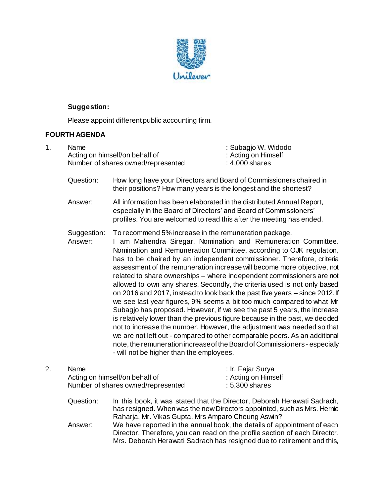

## **Suggestion:**

Please appoint different public accounting firm.

## **FOURTH AGENDA**

| 1. | Name<br>Acting on himself/on behalf of<br>Number of shares owned/represented |                                                                                                                                                                                                                                                                                                                                                                                                                                                                                                                                                                                                                                                                                                                                                                                                                                                                                                                                                                                                                                                                                                             | : Subagjo W. Widodo<br>: Acting on Himself<br>: 4,000 shares |  |  |
|----|------------------------------------------------------------------------------|-------------------------------------------------------------------------------------------------------------------------------------------------------------------------------------------------------------------------------------------------------------------------------------------------------------------------------------------------------------------------------------------------------------------------------------------------------------------------------------------------------------------------------------------------------------------------------------------------------------------------------------------------------------------------------------------------------------------------------------------------------------------------------------------------------------------------------------------------------------------------------------------------------------------------------------------------------------------------------------------------------------------------------------------------------------------------------------------------------------|--------------------------------------------------------------|--|--|
|    | Question:                                                                    | How long have your Directors and Board of Commissioners chaired in<br>their positions? How many years is the longest and the shortest?                                                                                                                                                                                                                                                                                                                                                                                                                                                                                                                                                                                                                                                                                                                                                                                                                                                                                                                                                                      |                                                              |  |  |
|    | Answer:                                                                      | All information has been elaborated in the distributed Annual Report,<br>especially in the Board of Directors' and Board of Commissioners'<br>profiles. You are welcomed to read this after the meeting has ended.                                                                                                                                                                                                                                                                                                                                                                                                                                                                                                                                                                                                                                                                                                                                                                                                                                                                                          |                                                              |  |  |
|    | Suggestion:<br>Answer:                                                       | To recommend 5% increase in the remuneration package.<br>I am Mahendra Siregar, Nomination and Remuneration Committee.<br>Nomination and Remuneration Committee, according to OJK regulation,<br>has to be chaired by an independent commissioner. Therefore, criteria<br>assessment of the remuneration increase will become more objective, not<br>related to share ownerships - where independent commissioners are not<br>allowed to own any shares. Secondly, the criteria used is not only based<br>on 2016 and 2017, instead to look back the past five years - since 2012. If<br>we see last year figures, 9% seems a bit too much compared to what Mr<br>Subagjo has proposed. However, if we see the past 5 years, the increase<br>is relatively lower than the previous figure because in the past, we decided<br>not to increase the number. However, the adjustment was needed so that<br>we are not left out - compared to other comparable peers. As an additional<br>note, the remuneration increase of the Board of Commissioners - especially<br>- will not be higher than the employees. |                                                              |  |  |
| 2. | Name<br>Acting on himself/on behalf of<br>Number of shares owned/represented |                                                                                                                                                                                                                                                                                                                                                                                                                                                                                                                                                                                                                                                                                                                                                                                                                                                                                                                                                                                                                                                                                                             | : Ir. Fajar Surya<br>: Acting on Himself<br>: 5,300 shares   |  |  |
|    | Question:                                                                    | In this book, it was stated that the Director, Deborah Herawati Sadrach,<br>has resigned. When was the new Directors appointed, such as Mrs. Hernie<br>Raharja, Mr. Vikas Gupta, Mrs Amparo Cheung Aswin?                                                                                                                                                                                                                                                                                                                                                                                                                                                                                                                                                                                                                                                                                                                                                                                                                                                                                                   |                                                              |  |  |

Answer: We have reported in the annual book, the details of appointment of each Director. Therefore, you can read on the profile section of each Director. Mrs. Deborah Herawati Sadrach has resigned due to retirement and this,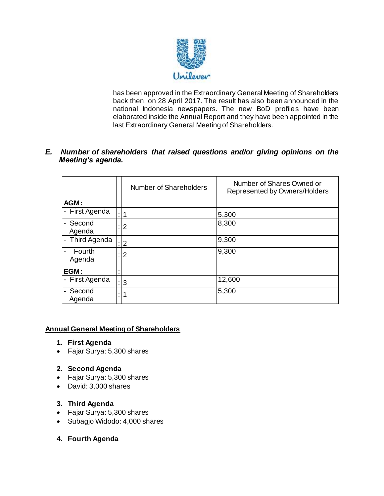

has been approved in the Extraordinary General Meeting of Shareholders back then, on 28 April 2017. The result has also been announced in the national Indonesia newspapers. The new BoD profiles have been elaborated inside the Annual Report and they have been appointed in the last Extraordinary General Meeting of Shareholders.

### *E. Number of shareholders that raised questions and/or giving opinions on the Meeting's agenda.*

|                    |  | Number of Shareholders | Number of Shares Owned or<br>Represented by Owners/Holders |
|--------------------|--|------------------------|------------------------------------------------------------|
| AGM:               |  |                        |                                                            |
| - First Agenda     |  |                        | 5,300                                                      |
| - Second<br>Agenda |  | 2                      | 8,300                                                      |
| - Third Agenda     |  | $\overline{2}$         | 9,300                                                      |
| Fourth<br>Agenda   |  | 2                      | 9,300                                                      |
| EGM:               |  |                        |                                                            |
| - First Agenda     |  | 3                      | 12,600                                                     |
| Second<br>Agenda   |  | 1                      | 5,300                                                      |

## **Annual General Meeting of Shareholders**

- **1. First Agenda**
- Fajar Surya: 5,300 shares

#### **2. Second Agenda**

- Fajar Surya: 5,300 shares
- David: 3,000 shares

#### **3. Third Agenda**

- Fajar Surya: 5,300 shares
- Subagjo Widodo: 4,000 shares
- **4. Fourth Agenda**